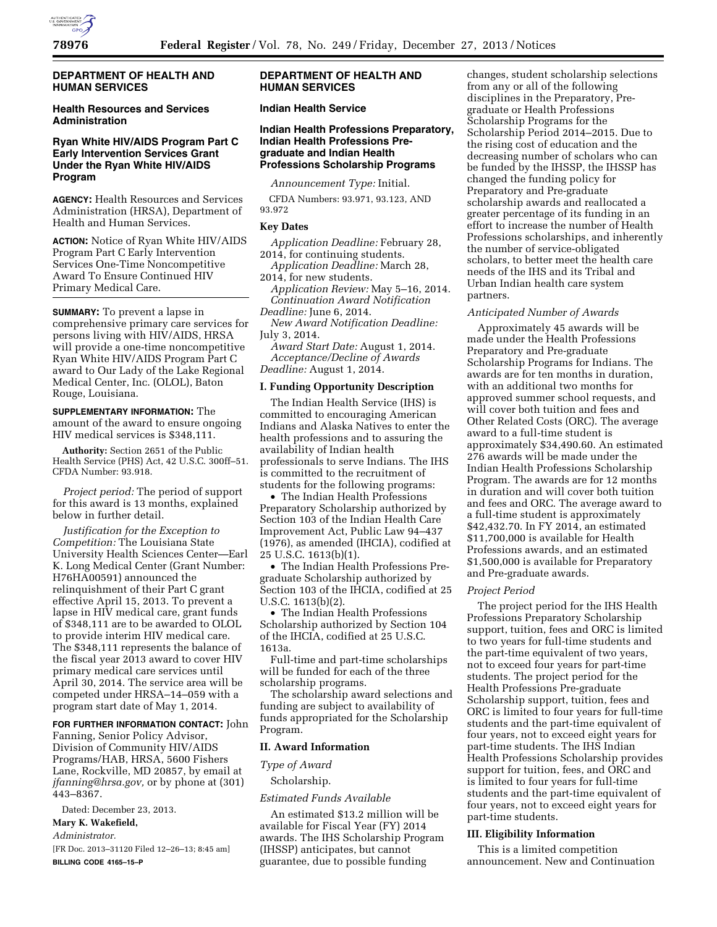

## **DEPARTMENT OF HEALTH AND HUMAN SERVICES**

# **Health Resources and Services Administration**

## **Ryan White HIV/AIDS Program Part C Early Intervention Services Grant Under the Ryan White HIV/AIDS Program**

**AGENCY:** Health Resources and Services Administration (HRSA), Department of Health and Human Services.

**ACTION:** Notice of Ryan White HIV/AIDS Program Part C Early Intervention Services One-Time Noncompetitive Award To Ensure Continued HIV Primary Medical Care.

**SUMMARY:** To prevent a lapse in comprehensive primary care services for persons living with HIV/AIDS, HRSA will provide a one-time noncompetitive Ryan White HIV/AIDS Program Part C award to Our Lady of the Lake Regional Medical Center, Inc. (OLOL), Baton Rouge, Louisiana.

**SUPPLEMENTARY INFORMATION:** The amount of the award to ensure ongoing HIV medical services is \$348,111.

**Authority:** Section 2651 of the Public Health Service (PHS) Act, 42 U.S.C. 300ff–51. CFDA Number: 93.918.

*Project period:* The period of support for this award is 13 months, explained below in further detail.

*Justification for the Exception to Competition:* The Louisiana State University Health Sciences Center—Earl K. Long Medical Center (Grant Number: H76HA00591) announced the relinquishment of their Part C grant effective April 15, 2013. To prevent a lapse in HIV medical care, grant funds of \$348,111 are to be awarded to OLOL to provide interim HIV medical care. The \$348,111 represents the balance of the fiscal year 2013 award to cover HIV primary medical care services until April 30, 2014. The service area will be competed under HRSA–14–059 with a program start date of May 1, 2014.

**FOR FURTHER INFORMATION CONTACT:** John Fanning, Senior Policy Advisor, Division of Community HIV/AIDS Programs/HAB, HRSA, 5600 Fishers Lane, Rockville, MD 20857, by email at *[jfanning@hrsa.gov,](mailto:jfanning@hrsa.gov)* or by phone at (301) 443–8367.

Dated: December 23, 2013.

**Mary K. Wakefield,** 

*Administrator.* 

[FR Doc. 2013–31120 Filed 12–26–13; 8:45 am] **BILLING CODE 4165–15–P** 

## **DEPARTMENT OF HEALTH AND HUMAN SERVICES**

# **Indian Health Service**

## **Indian Health Professions Preparatory, Indian Health Professions Pregraduate and Indian Health Professions Scholarship Programs**

*Announcement Type:* Initial.

CFDA Numbers: 93.971, 93.123, AND 93.972

### **Key Dates**

*Application Deadline:* February 28, 2014, for continuing students.

*Application Deadline:* March 28, 2014, for new students.

*Application Review:* May 5–16, 2014. *Continuation Award Notification Deadline:* June 6, 2014.

*New Award Notification Deadline:*  July 3, 2014.

*Award Start Date:* August 1, 2014. *Acceptance/Decline of Awards Deadline:* August 1, 2014.

### **I. Funding Opportunity Description**

The Indian Health Service (IHS) is committed to encouraging American Indians and Alaska Natives to enter the health professions and to assuring the availability of Indian health professionals to serve Indians. The IHS is committed to the recruitment of students for the following programs:

• The Indian Health Professions Preparatory Scholarship authorized by Section 103 of the Indian Health Care Improvement Act, Public Law 94–437 (1976), as amended (IHCIA), codified at 25 U.S.C. 1613(b)(1).

• The Indian Health Professions Pregraduate Scholarship authorized by Section 103 of the IHCIA, codified at 25 U.S.C. 1613(b)(2).

• The Indian Health Professions Scholarship authorized by Section 104 of the IHCIA, codified at 25 U.S.C. 1613a.

Full-time and part-time scholarships will be funded for each of the three scholarship programs.

The scholarship award selections and funding are subject to availability of funds appropriated for the Scholarship Program.

### **II. Award Information**

# *Type of Award*

Scholarship.

## *Estimated Funds Available*

An estimated \$13.2 million will be available for Fiscal Year (FY) 2014 awards. The IHS Scholarship Program (IHSSP) anticipates, but cannot guarantee, due to possible funding

changes, student scholarship selections from any or all of the following disciplines in the Preparatory, Pregraduate or Health Professions Scholarship Programs for the Scholarship Period 2014–2015. Due to the rising cost of education and the decreasing number of scholars who can be funded by the IHSSP, the IHSSP has changed the funding policy for Preparatory and Pre-graduate scholarship awards and reallocated a greater percentage of its funding in an effort to increase the number of Health Professions scholarships, and inherently the number of service-obligated scholars, to better meet the health care needs of the IHS and its Tribal and Urban Indian health care system partners.

### *Anticipated Number of Awards*

Approximately 45 awards will be made under the Health Professions Preparatory and Pre-graduate Scholarship Programs for Indians. The awards are for ten months in duration, with an additional two months for approved summer school requests, and will cover both tuition and fees and Other Related Costs (ORC). The average award to a full-time student is approximately \$34,490.60. An estimated 276 awards will be made under the Indian Health Professions Scholarship Program. The awards are for 12 months in duration and will cover both tuition and fees and ORC. The average award to a full-time student is approximately \$42,432.70. In FY 2014, an estimated \$11,700,000 is available for Health Professions awards, and an estimated \$1,500,000 is available for Preparatory and Pre-graduate awards.

### *Project Period*

The project period for the IHS Health Professions Preparatory Scholarship support, tuition, fees and ORC is limited to two years for full-time students and the part-time equivalent of two years, not to exceed four years for part-time students. The project period for the Health Professions Pre-graduate Scholarship support, tuition, fees and ORC is limited to four years for full-time students and the part-time equivalent of four years, not to exceed eight years for part-time students. The IHS Indian Health Professions Scholarship provides support for tuition, fees, and ORC and is limited to four years for full-time students and the part-time equivalent of four years, not to exceed eight years for part-time students.

### **III. Eligibility Information**

This is a limited competition announcement. New and Continuation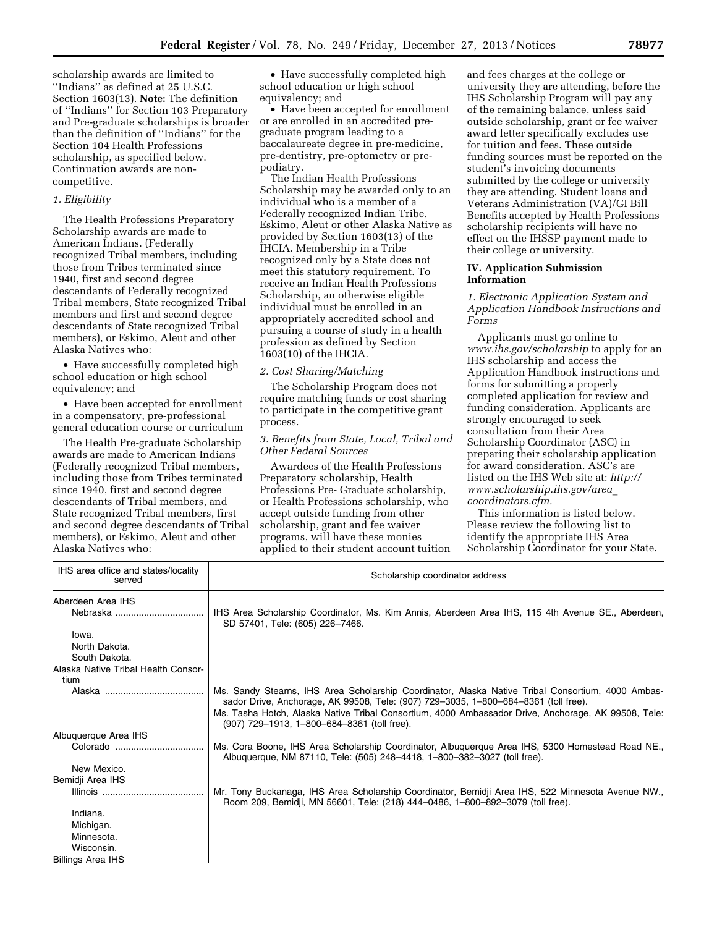scholarship awards are limited to ''Indians'' as defined at 25 U.S.C. Section 1603(13). **Note:** The definition of ''Indians'' for Section 103 Preparatory and Pre-graduate scholarships is broader than the definition of ''Indians'' for the Section 104 Health Professions scholarship, as specified below. Continuation awards are noncompetitive.

### *1. Eligibility*

The Health Professions Preparatory Scholarship awards are made to American Indians. (Federally recognized Tribal members, including those from Tribes terminated since 1940, first and second degree descendants of Federally recognized Tribal members, State recognized Tribal members and first and second degree descendants of State recognized Tribal members), or Eskimo, Aleut and other Alaska Natives who:

• Have successfully completed high school education or high school equivalency; and

• Have been accepted for enrollment in a compensatory, pre-professional general education course or curriculum

The Health Pre-graduate Scholarship awards are made to American Indians (Federally recognized Tribal members, including those from Tribes terminated since 1940, first and second degree descendants of Tribal members, and State recognized Tribal members, first and second degree descendants of Tribal members), or Eskimo, Aleut and other Alaska Natives who:

• Have successfully completed high school education or high school equivalency; and

• Have been accepted for enrollment or are enrolled in an accredited pregraduate program leading to a baccalaureate degree in pre-medicine, pre-dentistry, pre-optometry or prepodiatry.

The Indian Health Professions Scholarship may be awarded only to an individual who is a member of a Federally recognized Indian Tribe, Eskimo, Aleut or other Alaska Native as provided by Section 1603(13) of the IHCIA. Membership in a Tribe recognized only by a State does not meet this statutory requirement. To receive an Indian Health Professions Scholarship, an otherwise eligible individual must be enrolled in an appropriately accredited school and pursuing a course of study in a health profession as defined by Section 1603(10) of the IHCIA.

### *2. Cost Sharing/Matching*

The Scholarship Program does not require matching funds or cost sharing to participate in the competitive grant process.

### *3. Benefits from State, Local, Tribal and Other Federal Sources*

Awardees of the Health Professions Preparatory scholarship, Health Professions Pre- Graduate scholarship, or Health Professions scholarship, who accept outside funding from other scholarship, grant and fee waiver programs, will have these monies applied to their student account tuition and fees charges at the college or university they are attending, before the IHS Scholarship Program will pay any of the remaining balance, unless said outside scholarship, grant or fee waiver award letter specifically excludes use for tuition and fees. These outside funding sources must be reported on the student's invoicing documents submitted by the college or university they are attending. Student loans and Veterans Administration (VA)/GI Bill Benefits accepted by Health Professions scholarship recipients will have no effect on the IHSSP payment made to their college or university.

### **IV. Application Submission Information**

*1. Electronic Application System and Application Handbook Instructions and Forms* 

Applicants must go online to *[www.ihs.gov/scholarship](http://www.ihs.gov/scholarship)* to apply for an IHS scholarship and access the Application Handbook instructions and forms for submitting a properly completed application for review and funding consideration. Applicants are strongly encouraged to seek consultation from their Area Scholarship Coordinator (ASC) in preparing their scholarship application for award consideration. ASC's are listed on the IHS Web site at: *[http://](http://www.scholarship.ihs.gov/area_coordinators.cfm) [www.scholarship.ihs.gov/area](http://www.scholarship.ihs.gov/area_coordinators.cfm)*\_ *[coordinators.cfm.](http://www.scholarship.ihs.gov/area_coordinators.cfm)* 

This information is listed below. Please review the following list to identify the appropriate IHS Area Scholarship Coordinator for your State.

| IHS area office and states/locality<br>served | Scholarship coordinator address                                                                                                                                                                                                                                                                                                                |
|-----------------------------------------------|------------------------------------------------------------------------------------------------------------------------------------------------------------------------------------------------------------------------------------------------------------------------------------------------------------------------------------------------|
| Aberdeen Area IHS                             |                                                                                                                                                                                                                                                                                                                                                |
|                                               | IHS Area Scholarship Coordinator, Ms. Kim Annis, Aberdeen Area IHS, 115 4th Avenue SE., Aberdeen,<br>SD 57401, Tele: (605) 226-7466.                                                                                                                                                                                                           |
| lowa.                                         |                                                                                                                                                                                                                                                                                                                                                |
| North Dakota.                                 |                                                                                                                                                                                                                                                                                                                                                |
| South Dakota.                                 |                                                                                                                                                                                                                                                                                                                                                |
| Alaska Native Tribal Health Consor-<br>tium   |                                                                                                                                                                                                                                                                                                                                                |
|                                               | Ms. Sandy Stearns, IHS Area Scholarship Coordinator, Alaska Native Tribal Consortium, 4000 Ambas-<br>sador Drive, Anchorage, AK 99508, Tele: (907) 729–3035, 1–800–684–8361 (toll free).<br>Ms. Tasha Hotch, Alaska Native Tribal Consortium, 4000 Ambassador Drive, Anchorage, AK 99508, Tele:<br>(907) 729-1913, 1-800-684-8361 (toll free). |
| Albuquerque Area IHS                          |                                                                                                                                                                                                                                                                                                                                                |
| Colorado                                      | Ms. Cora Boone, IHS Area Scholarship Coordinator, Albuquerque Area IHS, 5300 Homestead Road NE.,<br>Albuquerque, NM 87110, Tele: (505) 248-4418, 1-800-382-3027 (toll free).                                                                                                                                                                   |
| New Mexico.                                   |                                                                                                                                                                                                                                                                                                                                                |
| Bemidji Area IHS                              |                                                                                                                                                                                                                                                                                                                                                |
|                                               | Mr. Tony Buckanaga, IHS Area Scholarship Coordinator, Bemidji Area IHS, 522 Minnesota Avenue NW.,<br>Room 209, Bemidji, MN 56601, Tele: (218) 444-0486, 1-800-892-3079 (toll free).                                                                                                                                                            |
| Indiana.                                      |                                                                                                                                                                                                                                                                                                                                                |
| Michigan.                                     |                                                                                                                                                                                                                                                                                                                                                |
| Minnesota.                                    |                                                                                                                                                                                                                                                                                                                                                |
| Wisconsin.                                    |                                                                                                                                                                                                                                                                                                                                                |
| <b>Billings Area IHS</b>                      |                                                                                                                                                                                                                                                                                                                                                |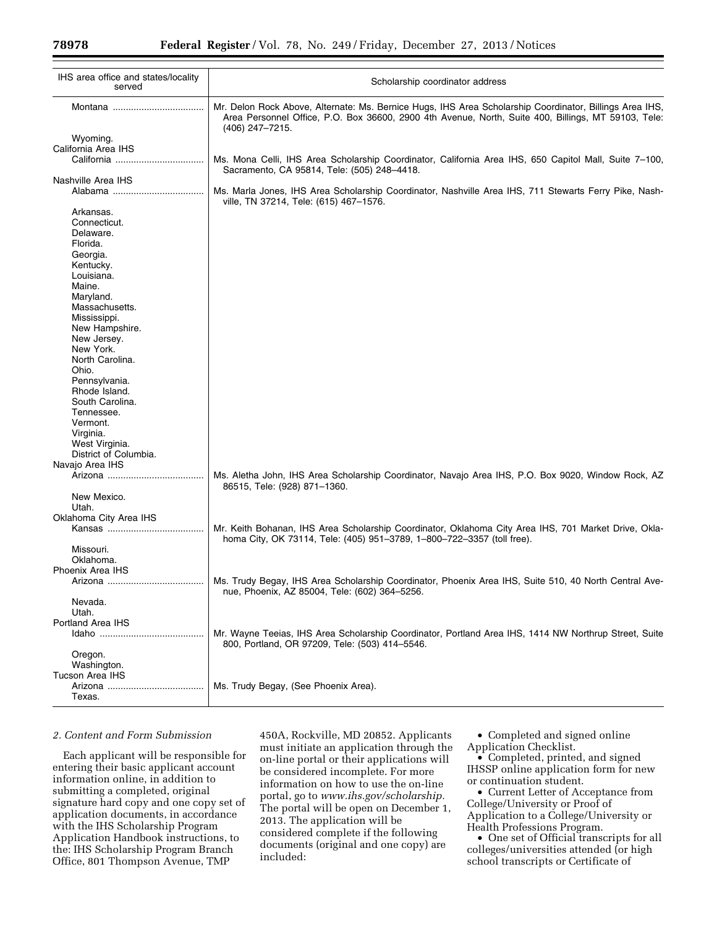| IHS area office and states/locality<br>served | Scholarship coordinator address                                                                                                                                                                                                   |
|-----------------------------------------------|-----------------------------------------------------------------------------------------------------------------------------------------------------------------------------------------------------------------------------------|
|                                               | Mr. Delon Rock Above, Alternate: Ms. Bernice Hugs, IHS Area Scholarship Coordinator, Billings Area IHS,<br>Area Personnel Office, P.O. Box 36600, 2900 4th Avenue, North, Suite 400, Billings, MT 59103, Tele:<br>(406) 247-7215. |
| Wyoming.                                      |                                                                                                                                                                                                                                   |
| California Area IHS                           |                                                                                                                                                                                                                                   |
|                                               | Ms. Mona Celli, IHS Area Scholarship Coordinator, California Area IHS, 650 Capitol Mall, Suite 7-100,                                                                                                                             |
|                                               | Sacramento, CA 95814, Tele: (505) 248-4418.                                                                                                                                                                                       |
| Nashville Area IHS                            |                                                                                                                                                                                                                                   |
|                                               | Ms. Marla Jones, IHS Area Scholarship Coordinator, Nashville Area IHS, 711 Stewarts Ferry Pike, Nash-<br>ville, TN 37214, Tele: (615) 467-1576.                                                                                   |
| Arkansas.                                     |                                                                                                                                                                                                                                   |
| Connecticut.                                  |                                                                                                                                                                                                                                   |
| Delaware.                                     |                                                                                                                                                                                                                                   |
| Florida.                                      |                                                                                                                                                                                                                                   |
| Georgia.                                      |                                                                                                                                                                                                                                   |
| Kentucky.                                     |                                                                                                                                                                                                                                   |
| Louisiana.                                    |                                                                                                                                                                                                                                   |
| Maine.                                        |                                                                                                                                                                                                                                   |
| Maryland.                                     |                                                                                                                                                                                                                                   |
| Massachusetts.                                |                                                                                                                                                                                                                                   |
| Mississippi.                                  |                                                                                                                                                                                                                                   |
| New Hampshire.                                |                                                                                                                                                                                                                                   |
| New Jersey.                                   |                                                                                                                                                                                                                                   |
| New York.                                     |                                                                                                                                                                                                                                   |
| North Carolina.                               |                                                                                                                                                                                                                                   |
| Ohio.                                         |                                                                                                                                                                                                                                   |
| Pennsylvania.                                 |                                                                                                                                                                                                                                   |
| Rhode Island.                                 |                                                                                                                                                                                                                                   |
| South Carolina.                               |                                                                                                                                                                                                                                   |
| Tennessee.                                    |                                                                                                                                                                                                                                   |
| Vermont.                                      |                                                                                                                                                                                                                                   |
| Virginia.                                     |                                                                                                                                                                                                                                   |
| West Virginia.                                |                                                                                                                                                                                                                                   |
| District of Columbia.                         |                                                                                                                                                                                                                                   |
| Navajo Area IHS                               |                                                                                                                                                                                                                                   |
|                                               | Ms. Aletha John, IHS Area Scholarship Coordinator, Navajo Area IHS, P.O. Box 9020, Window Rock, AZ                                                                                                                                |
| New Mexico.                                   | 86515, Tele: (928) 871-1360.                                                                                                                                                                                                      |
| Utah.                                         |                                                                                                                                                                                                                                   |
| Oklahoma City Area IHS                        |                                                                                                                                                                                                                                   |
|                                               | Mr. Keith Bohanan, IHS Area Scholarship Coordinator, Oklahoma City Area IHS, 701 Market Drive, Okla-<br>homa City, OK 73114, Tele: (405) 951-3789, 1-800-722-3357 (toll free).                                                    |
| Missouri.                                     |                                                                                                                                                                                                                                   |
| Oklahoma.                                     |                                                                                                                                                                                                                                   |
| Phoenix Area IHS                              |                                                                                                                                                                                                                                   |
|                                               | Ms. Trudy Begay, IHS Area Scholarship Coordinator, Phoenix Area IHS, Suite 510, 40 North Central Ave-                                                                                                                             |
|                                               | nue, Phoenix, AZ 85004, Tele: (602) 364-5256.                                                                                                                                                                                     |
| Nevada.                                       |                                                                                                                                                                                                                                   |
| Utah.                                         |                                                                                                                                                                                                                                   |
| Portland Area IHS                             |                                                                                                                                                                                                                                   |
|                                               | Mr. Wayne Teeias, IHS Area Scholarship Coordinator, Portland Area IHS, 1414 NW Northrup Street, Suite<br>800, Portland, OR 97209, Tele: (503) 414-5546.                                                                           |
| Oregon.                                       |                                                                                                                                                                                                                                   |
| Washington.                                   |                                                                                                                                                                                                                                   |
| Tucson Area IHS                               |                                                                                                                                                                                                                                   |
|                                               | Ms. Trudy Begay, (See Phoenix Area).                                                                                                                                                                                              |
| Texas.                                        |                                                                                                                                                                                                                                   |

## *2. Content and Form Submission*

Each applicant will be responsible for entering their basic applicant account information online, in addition to submitting a completed, original signature hard copy and one copy set of application documents, in accordance with the IHS Scholarship Program Application Handbook instructions, to the: IHS Scholarship Program Branch Office, 801 Thompson Avenue, TMP

450A, Rockville, MD 20852. Applicants must initiate an application through the on-line portal or their applications will be considered incomplete. For more information on how to use the on-line portal, go to *[www.ihs.gov/scholarship.](http://www.ihs.gov/scholarship)*  The portal will be open on December 1, 2013. The application will be considered complete if the following documents (original and one copy) are included:

• Completed and signed online Application Checklist.

• Completed, printed, and signed IHSSP online application form for new or continuation student.

• Current Letter of Acceptance from College/University or Proof of Application to a College/University or Health Professions Program.

• One set of Official transcripts for all colleges/universities attended (or high school transcripts or Certificate of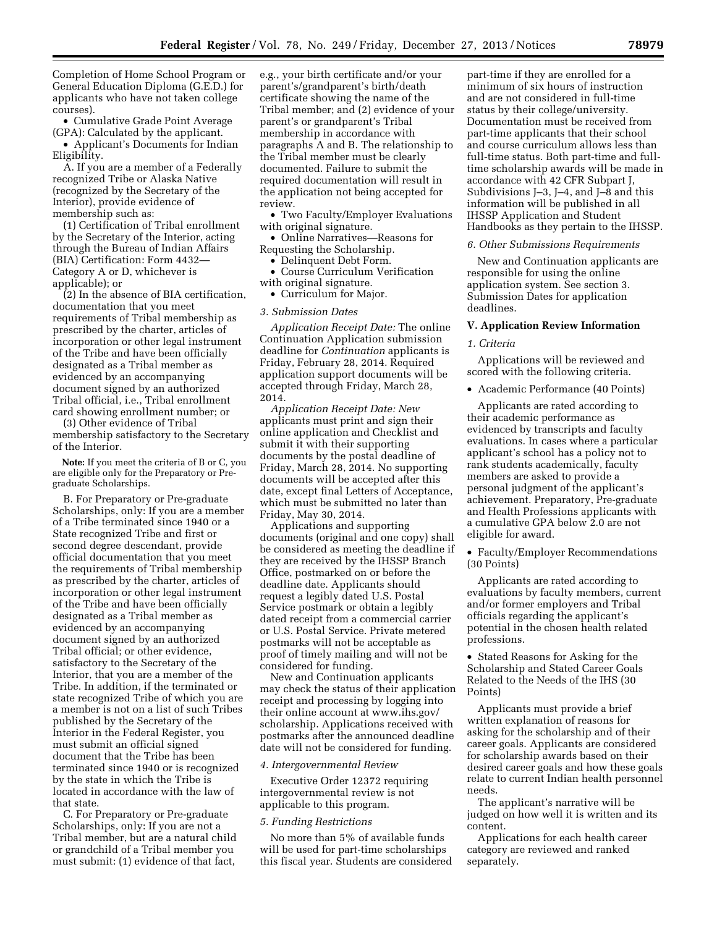Completion of Home School Program or General Education Diploma (G.E.D.) for applicants who have not taken college courses).

• Cumulative Grade Point Average (GPA): Calculated by the applicant.

• Applicant's Documents for Indian Eligibility.

A. If you are a member of a Federally recognized Tribe or Alaska Native (recognized by the Secretary of the Interior), provide evidence of membership such as:

(1) Certification of Tribal enrollment by the Secretary of the Interior, acting through the Bureau of Indian Affairs (BIA) Certification: Form 4432— Category A or D, whichever is applicable); or

(2) In the absence of BIA certification, documentation that you meet requirements of Tribal membership as prescribed by the charter, articles of incorporation or other legal instrument of the Tribe and have been officially designated as a Tribal member as evidenced by an accompanying document signed by an authorized Tribal official, i.e., Tribal enrollment card showing enrollment number; or

(3) Other evidence of Tribal membership satisfactory to the Secretary of the Interior.

**Note:** If you meet the criteria of B or C, you are eligible only for the Preparatory or Pregraduate Scholarships.

B. For Preparatory or Pre-graduate Scholarships, only: If you are a member of a Tribe terminated since 1940 or a State recognized Tribe and first or second degree descendant, provide official documentation that you meet the requirements of Tribal membership as prescribed by the charter, articles of incorporation or other legal instrument of the Tribe and have been officially designated as a Tribal member as evidenced by an accompanying document signed by an authorized Tribal official; or other evidence, satisfactory to the Secretary of the Interior, that you are a member of the Tribe. In addition, if the terminated or state recognized Tribe of which you are a member is not on a list of such Tribes published by the Secretary of the Interior in the Federal Register, you must submit an official signed document that the Tribe has been terminated since 1940 or is recognized by the state in which the Tribe is located in accordance with the law of that state.

C. For Preparatory or Pre-graduate Scholarships, only: If you are not a Tribal member, but are a natural child or grandchild of a Tribal member you must submit: (1) evidence of that fact,

e.g., your birth certificate and/or your parent's/grandparent's birth/death certificate showing the name of the Tribal member; and (2) evidence of your parent's or grandparent's Tribal membership in accordance with paragraphs A and B. The relationship to the Tribal member must be clearly documented. Failure to submit the required documentation will result in the application not being accepted for review.

• Two Faculty/Employer Evaluations with original signature.

• Online Narratives—Reasons for Requesting the Scholarship.

• Delinquent Debt Form.

• Course Curriculum Verification with original signature.

• Curriculum for Major.

### *3. Submission Dates*

*Application Receipt Date:* The online Continuation Application submission deadline for *Continuation* applicants is Friday, February 28, 2014. Required application support documents will be accepted through Friday, March 28, 2014.

*Application Receipt Date: New*  applicants must print and sign their online application and Checklist and submit it with their supporting documents by the postal deadline of Friday, March 28, 2014. No supporting documents will be accepted after this date, except final Letters of Acceptance, which must be submitted no later than Friday, May 30, 2014.

Applications and supporting documents (original and one copy) shall be considered as meeting the deadline if they are received by the IHSSP Branch Office, postmarked on or before the deadline date. Applicants should request a legibly dated U.S. Postal Service postmark or obtain a legibly dated receipt from a commercial carrier or U.S. Postal Service. Private metered postmarks will not be acceptable as proof of timely mailing and will not be considered for funding.

New and Continuation applicants may check the status of their application receipt and processing by logging into their online account a[t www.ihs.gov/](http://www.ihs.gov/) scholarship. Applications received with postmarks after the announced deadline date will not be considered for funding.

### *4. Intergovernmental Review*

Executive Order 12372 requiring intergovernmental review is not applicable to this program.

#### *5. Funding Restrictions*

No more than 5% of available funds will be used for part-time scholarships this fiscal year. Students are considered

part-time if they are enrolled for a minimum of six hours of instruction and are not considered in full-time status by their college/university. Documentation must be received from part-time applicants that their school and course curriculum allows less than full-time status. Both part-time and fulltime scholarship awards will be made in accordance with 42 CFR Subpart J, Subdivisions J–3, J–4, and J–8 and this information will be published in all IHSSP Application and Student Handbooks as they pertain to the IHSSP.

### *6. Other Submissions Requirements*

New and Continuation applicants are responsible for using the online application system. See section 3. Submission Dates for application deadlines.

### **V. Application Review Information**

#### *1. Criteria*

Applications will be reviewed and scored with the following criteria.

• Academic Performance (40 Points)

Applicants are rated according to their academic performance as evidenced by transcripts and faculty evaluations. In cases where a particular applicant's school has a policy not to rank students academically, faculty members are asked to provide a personal judgment of the applicant's achievement. Preparatory, Pre-graduate and Health Professions applicants with a cumulative GPA below 2.0 are not eligible for award.

• Faculty/Employer Recommendations (30 Points)

Applicants are rated according to evaluations by faculty members, current and/or former employers and Tribal officials regarding the applicant's potential in the chosen health related professions.

• Stated Reasons for Asking for the Scholarship and Stated Career Goals Related to the Needs of the IHS (30 Points)

Applicants must provide a brief written explanation of reasons for asking for the scholarship and of their career goals. Applicants are considered for scholarship awards based on their desired career goals and how these goals relate to current Indian health personnel needs.

The applicant's narrative will be judged on how well it is written and its content.

Applications for each health career category are reviewed and ranked separately.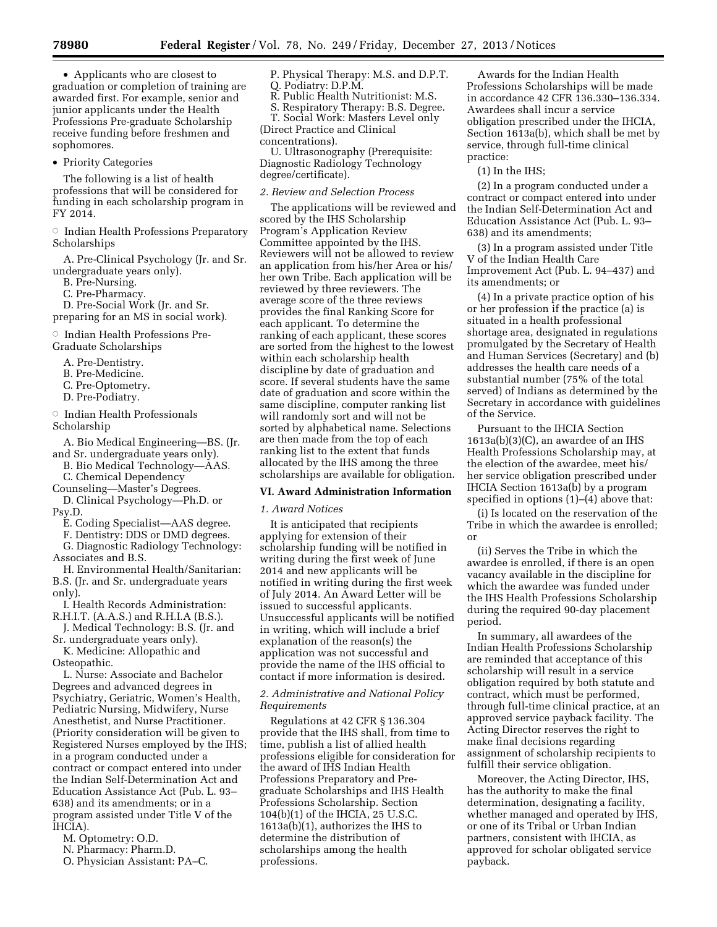• Applicants who are closest to graduation or completion of training are awarded first. For example, senior and junior applicants under the Health Professions Pre-graduate Scholarship receive funding before freshmen and sophomores.

• Priority Categories

The following is a list of health professions that will be considered for funding in each scholarship program in FY 2014.

 $\circ$  Indian Health Professions Preparatory Scholarships

A. Pre-Clinical Psychology (Jr. and Sr. undergraduate years only).

B. Pre-Nursing.

C. Pre-Pharmacy.

D. Pre-Social Work (Jr. and Sr.

preparing for an MS in social work).

**Indian Health Professions Pre-**

Graduate Scholarships

- A. Pre-Dentistry.
- B. Pre-Medicine.
- C. Pre-Optometry.
- D. Pre-Podiatry.

 $\circ$  Indian Health Professionals

Scholarship

- A. Bio Medical Engineering—BS. (Jr. and Sr. undergraduate years only).
- B. Bio Medical Technology—AAS. C. Chemical Dependency
- 

Counseling—Master's Degrees. D. Clinical Psychology—Ph.D. or Psy.D.

- 
- E. Coding Specialist—AAS degree. F. Dentistry: DDS or DMD degrees.

G. Diagnostic Radiology Technology: Associates and B.S.

H. Environmental Health/Sanitarian: B.S. (Jr. and Sr. undergraduate years only).

I. Health Records Administration: R.H.I.T. (A.A.S.) and R.H.I.A (B.S.).

- J. Medical Technology: B.S. (Jr. and Sr. undergraduate years only).
- K. Medicine: Allopathic and

Osteopathic.

L. Nurse: Associate and Bachelor Degrees and advanced degrees in Psychiatry, Geriatric, Women's Health, Pediatric Nursing, Midwifery, Nurse Anesthetist, and Nurse Practitioner. (Priority consideration will be given to Registered Nurses employed by the IHS; in a program conducted under a contract or compact entered into under the Indian Self-Determination Act and Education Assistance Act (Pub. L. 93– 638) and its amendments; or in a program assisted under Title V of the IHCIA).

- M. Optometry: O.D.
- N. Pharmacy: Pharm.D.

O. Physician Assistant: PA–C.

- P. Physical Therapy: M.S. and D.P.T. Q. Podiatry: D.P.M.
- R. Public Health Nutritionist: M.S.
- S. Respiratory Therapy: B.S. Degree.

T. Social Work: Masters Level only (Direct Practice and Clinical concentrations).

U. Ultrasonography (Prerequisite: Diagnostic Radiology Technology degree/certificate).

#### *2. Review and Selection Process*

The applications will be reviewed and scored by the IHS Scholarship Program's Application Review Committee appointed by the IHS. Reviewers will not be allowed to review an application from his/her Area or his/ her own Tribe. Each application will be reviewed by three reviewers. The average score of the three reviews provides the final Ranking Score for each applicant. To determine the ranking of each applicant, these scores are sorted from the highest to the lowest within each scholarship health discipline by date of graduation and score. If several students have the same date of graduation and score within the same discipline, computer ranking list will randomly sort and will not be sorted by alphabetical name. Selections are then made from the top of each ranking list to the extent that funds allocated by the IHS among the three scholarships are available for obligation.

### **VI. Award Administration Information**

#### *1. Award Notices*

It is anticipated that recipients applying for extension of their scholarship funding will be notified in writing during the first week of June 2014 and new applicants will be notified in writing during the first week of July 2014. An Award Letter will be issued to successful applicants. Unsuccessful applicants will be notified in writing, which will include a brief explanation of the reason(s) the application was not successful and provide the name of the IHS official to contact if more information is desired.

## *2. Administrative and National Policy Requirements*

Regulations at 42 CFR § 136.304 provide that the IHS shall, from time to time, publish a list of allied health professions eligible for consideration for the award of IHS Indian Health Professions Preparatory and Pregraduate Scholarships and IHS Health Professions Scholarship. Section 104(b)(1) of the IHCIA, 25 U.S.C. 1613a(b)(1), authorizes the IHS to determine the distribution of scholarships among the health professions.

Awards for the Indian Health Professions Scholarships will be made in accordance 42 CFR 136.330–136.334. Awardees shall incur a service obligation prescribed under the IHCIA, Section 1613a(b), which shall be met by service, through full-time clinical practice:

(1) In the IHS;

(2) In a program conducted under a contract or compact entered into under the Indian Self-Determination Act and Education Assistance Act (Pub. L. 93– 638) and its amendments;

(3) In a program assisted under Title V of the Indian Health Care Improvement Act (Pub. L. 94–437) and its amendments; or

(4) In a private practice option of his or her profession if the practice (a) is situated in a health professional shortage area, designated in regulations promulgated by the Secretary of Health and Human Services (Secretary) and (b) addresses the health care needs of a substantial number (75% of the total served) of Indians as determined by the Secretary in accordance with guidelines of the Service.

Pursuant to the IHCIA Section 1613a(b)(3)(C), an awardee of an IHS Health Professions Scholarship may, at the election of the awardee, meet his/ her service obligation prescribed under IHCIA Section 1613a(b) by a program specified in options (1)–(4) above that:

(i) Is located on the reservation of the Tribe in which the awardee is enrolled; or

(ii) Serves the Tribe in which the awardee is enrolled, if there is an open vacancy available in the discipline for which the awardee was funded under the IHS Health Professions Scholarship during the required 90-day placement period.

In summary, all awardees of the Indian Health Professions Scholarship are reminded that acceptance of this scholarship will result in a service obligation required by both statute and contract, which must be performed, through full-time clinical practice, at an approved service payback facility. The Acting Director reserves the right to make final decisions regarding assignment of scholarship recipients to fulfill their service obligation.

Moreover, the Acting Director, IHS, has the authority to make the final determination, designating a facility, whether managed and operated by IHS, or one of its Tribal or Urban Indian partners, consistent with IHCIA, as approved for scholar obligated service payback.